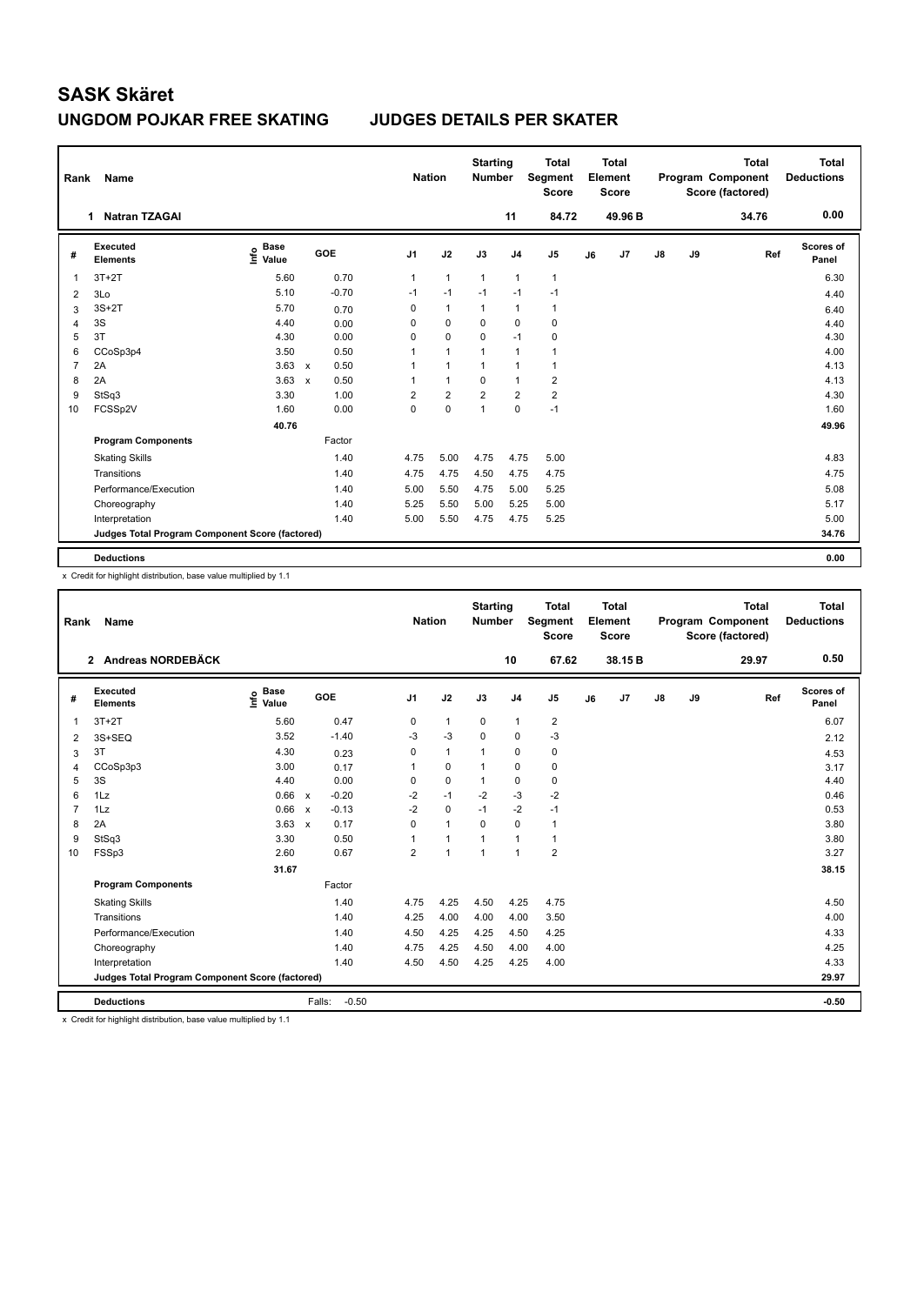| Rank           | Name                                            |                              |                                   |                | <b>Nation</b>  | <b>Starting</b><br><b>Number</b> |                         | <b>Total</b><br>Segment<br><b>Score</b> |    | <b>Total</b><br>Element<br><b>Score</b> |               |    | <b>Total</b><br>Program Component<br>Score (factored) | <b>Total</b><br><b>Deductions</b> |
|----------------|-------------------------------------------------|------------------------------|-----------------------------------|----------------|----------------|----------------------------------|-------------------------|-----------------------------------------|----|-----------------------------------------|---------------|----|-------------------------------------------------------|-----------------------------------|
|                | <b>Natran TZAGAI</b><br>1                       |                              |                                   |                |                |                                  | 11                      | 84.72                                   |    | 49.96 B                                 |               |    | 34.76                                                 | 0.00                              |
| #              | <b>Executed</b><br><b>Elements</b>              | <b>Base</b><br>١nf٥<br>Value | GOE                               | J <sub>1</sub> | J2             | J3                               | J <sub>4</sub>          | J5                                      | J6 | J7                                      | $\mathsf{J}8$ | J9 | Ref                                                   | Scores of<br>Panel                |
| 1              | $3T+2T$                                         | 5.60                         | 0.70                              | 1              | $\mathbf{1}$   | $\overline{1}$                   | $\overline{1}$          | $\mathbf{1}$                            |    |                                         |               |    |                                                       | 6.30                              |
| $\overline{2}$ | 3Lo                                             | 5.10                         | $-0.70$                           | $-1$           | $-1$           | $-1$                             | $-1$                    | $-1$                                    |    |                                         |               |    |                                                       | 4.40                              |
| 3              | $3S+2T$                                         | 5.70                         | 0.70                              | 0              | $\mathbf{1}$   | $\mathbf{1}$                     | $\mathbf{1}$            | $\mathbf{1}$                            |    |                                         |               |    |                                                       | 6.40                              |
| $\overline{4}$ | 3S                                              | 4.40                         | 0.00                              | 0              | $\Omega$       | $\Omega$                         | $\Omega$                | $\mathbf 0$                             |    |                                         |               |    |                                                       | 4.40                              |
| 5              | 3T                                              | 4.30                         | 0.00                              | 0              | $\mathbf 0$    | 0                                | $-1$                    | 0                                       |    |                                         |               |    |                                                       | 4.30                              |
| 6              | CCoSp3p4                                        | 3.50                         | 0.50                              | 1              | $\mathbf{1}$   | 1                                | $\overline{1}$          | $\overline{1}$                          |    |                                         |               |    |                                                       | 4.00                              |
| $\overline{7}$ | 2A                                              | 3.63                         | 0.50<br>$\mathsf{x}$              | 1              | $\mathbf{1}$   | 1                                | $\overline{1}$          | 1                                       |    |                                         |               |    |                                                       | 4.13                              |
| 8              | 2A                                              | 3.63                         | 0.50<br>$\boldsymbol{\mathsf{x}}$ | 1              | $\mathbf{1}$   | $\mathbf 0$                      | $\overline{1}$          | $\overline{2}$                          |    |                                         |               |    |                                                       | 4.13                              |
| 9              | StSq3                                           | 3.30                         | 1.00                              | 2              | $\overline{2}$ | $\overline{\mathbf{c}}$          | $\overline{\mathbf{c}}$ | $\boldsymbol{2}$                        |    |                                         |               |    |                                                       | 4.30                              |
| 10             | FCSSp2V                                         | 1.60                         | 0.00                              | 0              | $\mathbf 0$    | $\overline{1}$                   | $\mathbf 0$             | $-1$                                    |    |                                         |               |    |                                                       | 1.60                              |
|                |                                                 | 40.76                        |                                   |                |                |                                  |                         |                                         |    |                                         |               |    |                                                       | 49.96                             |
|                | <b>Program Components</b>                       |                              | Factor                            |                |                |                                  |                         |                                         |    |                                         |               |    |                                                       |                                   |
|                | <b>Skating Skills</b>                           |                              | 1.40                              | 4.75           | 5.00           | 4.75                             | 4.75                    | 5.00                                    |    |                                         |               |    |                                                       | 4.83                              |
|                | Transitions                                     |                              | 1.40                              | 4.75           | 4.75           | 4.50                             | 4.75                    | 4.75                                    |    |                                         |               |    |                                                       | 4.75                              |
|                | Performance/Execution                           |                              | 1.40                              | 5.00           | 5.50           | 4.75                             | 5.00                    | 5.25                                    |    |                                         |               |    |                                                       | 5.08                              |
|                | Choreography                                    |                              | 1.40                              | 5.25           | 5.50           | 5.00                             | 5.25                    | 5.00                                    |    |                                         |               |    |                                                       | 5.17                              |
|                | Interpretation                                  |                              | 1.40                              | 5.00           | 5.50           | 4.75                             | 4.75                    | 5.25                                    |    |                                         |               |    |                                                       | 5.00                              |
|                | Judges Total Program Component Score (factored) |                              |                                   |                |                |                                  |                         |                                         |    |                                         |               |    |                                                       | 34.76                             |
|                | <b>Deductions</b>                               |                              |                                   |                |                |                                  |                         |                                         |    |                                         |               |    |                                                       | 0.00                              |

x Credit for highlight distribution, base value multiplied by 1.1

| Rank           | <b>Name</b>                                     |                              |              |         | <b>Nation</b>  |              | <b>Starting</b><br><b>Number</b> |                | <b>Total</b><br>Segment<br><b>Score</b> |    | <b>Total</b><br>Element<br><b>Score</b> |    |    | <b>Total</b><br>Program Component<br>Score (factored) | <b>Total</b><br><b>Deductions</b> |
|----------------|-------------------------------------------------|------------------------------|--------------|---------|----------------|--------------|----------------------------------|----------------|-----------------------------------------|----|-----------------------------------------|----|----|-------------------------------------------------------|-----------------------------------|
|                | 2 Andreas NORDEBÄCK                             |                              |              |         |                |              |                                  | 10             | 67.62                                   |    | 38.15 B                                 |    |    | 29.97                                                 | 0.50                              |
| #              | Executed<br><b>Elements</b>                     | <b>Base</b><br>lnfo<br>Value |              | GOE     | J <sub>1</sub> | J2           | J3                               | J <sub>4</sub> | J <sub>5</sub>                          | J6 | J <sub>7</sub>                          | J8 | J9 | Ref                                                   | <b>Scores of</b><br>Panel         |
| 1              | $3T+2T$                                         | 5.60                         |              | 0.47    | 0              | $\mathbf{1}$ | 0                                | $\mathbf{1}$   | 2                                       |    |                                         |    |    |                                                       | 6.07                              |
| 2              | 3S+SEQ                                          | 3.52                         |              | $-1.40$ | -3             | -3           | $\Omega$                         | 0              | $-3$                                    |    |                                         |    |    |                                                       | 2.12                              |
| 3              | 3T                                              | 4.30                         |              | 0.23    | 0              | $\mathbf{1}$ | 1                                | $\mathbf 0$    | 0                                       |    |                                         |    |    |                                                       | 4.53                              |
| 4              | CCoSp3p3                                        | 3.00                         |              | 0.17    | 1              | $\mathbf 0$  | 1                                | $\mathbf 0$    | 0                                       |    |                                         |    |    |                                                       | 3.17                              |
| 5              | 3S                                              | 4.40                         |              | 0.00    | 0              | $\mathbf 0$  | $\mathbf{1}$                     | $\mathbf 0$    | 0                                       |    |                                         |    |    |                                                       | 4.40                              |
| 6              | 1Lz                                             | 0.66                         | $\mathsf{x}$ | $-0.20$ | $-2$           | $-1$         | $-2$                             | $-3$           | $-2$                                    |    |                                         |    |    |                                                       | 0.46                              |
| $\overline{7}$ | 1Lz                                             | 0.66                         | $\mathsf{x}$ | $-0.13$ | $-2$           | $\mathbf 0$  | $-1$                             | $-2$           | $-1$                                    |    |                                         |    |    |                                                       | 0.53                              |
| 8              | 2A                                              | 3.63                         | $\mathsf{x}$ | 0.17    | $\Omega$       | $\mathbf{1}$ | $\Omega$                         | $\mathbf 0$    | 1                                       |    |                                         |    |    |                                                       | 3.80                              |
| 9              | StSq3                                           | 3.30                         |              | 0.50    |                | $\mathbf{1}$ | 1                                | 1              | 1                                       |    |                                         |    |    |                                                       | 3.80                              |
| 10             | FSSp3                                           | 2.60                         |              | 0.67    | $\overline{2}$ | $\mathbf{1}$ | $\mathbf{1}$                     | 1              | $\overline{\mathbf{c}}$                 |    |                                         |    |    |                                                       | 3.27                              |
|                |                                                 | 31.67                        |              |         |                |              |                                  |                |                                         |    |                                         |    |    |                                                       | 38.15                             |
|                | <b>Program Components</b>                       |                              |              | Factor  |                |              |                                  |                |                                         |    |                                         |    |    |                                                       |                                   |
|                | <b>Skating Skills</b>                           |                              |              | 1.40    | 4.75           | 4.25         | 4.50                             | 4.25           | 4.75                                    |    |                                         |    |    |                                                       | 4.50                              |
|                | Transitions                                     |                              |              | 1.40    | 4.25           | 4.00         | 4.00                             | 4.00           | 3.50                                    |    |                                         |    |    |                                                       | 4.00                              |
|                | Performance/Execution                           |                              |              | 1.40    | 4.50           | 4.25         | 4.25                             | 4.50           | 4.25                                    |    |                                         |    |    |                                                       | 4.33                              |
|                | Choreography                                    |                              |              | 1.40    | 4.75           | 4.25         | 4.50                             | 4.00           | 4.00                                    |    |                                         |    |    |                                                       | 4.25                              |
|                | Interpretation                                  |                              |              | 1.40    | 4.50           | 4.50         | 4.25                             | 4.25           | 4.00                                    |    |                                         |    |    |                                                       | 4.33                              |
|                | Judges Total Program Component Score (factored) |                              |              |         |                |              |                                  |                |                                         |    |                                         |    |    |                                                       | 29.97                             |
|                | <b>Deductions</b>                               |                              | Falls:       | $-0.50$ |                |              |                                  |                |                                         |    |                                         |    |    |                                                       | $-0.50$                           |

x Credit for highlight distribution, base value multiplied by 1.1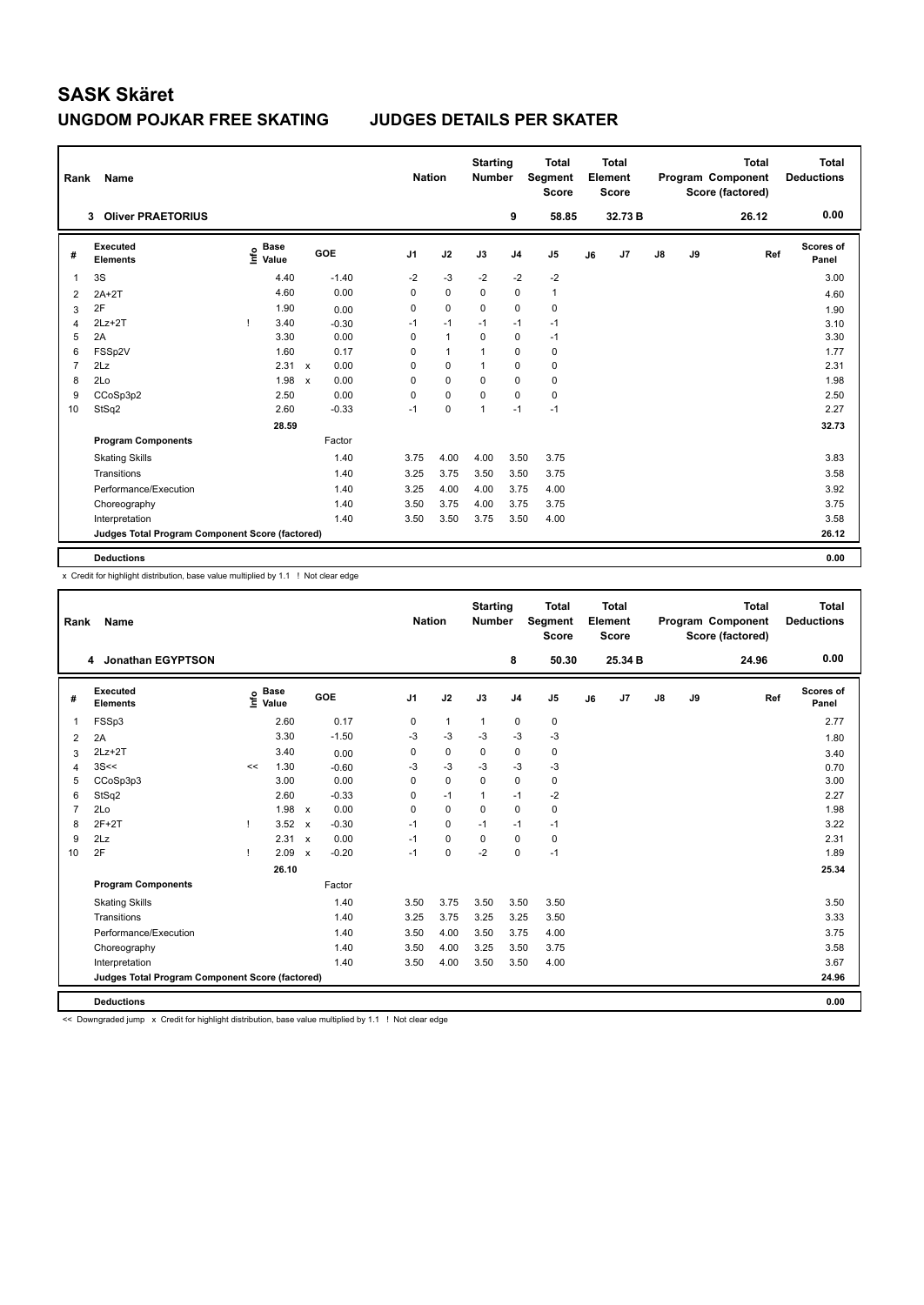| Rank           | Name                                            |      |                      |                           |         | <b>Nation</b>  |                | <b>Starting</b><br><b>Number</b> |                | <b>Total</b><br><b>Segment</b><br><b>Score</b> |    | <b>Total</b><br>Element<br>Score |               |    | <b>Total</b><br>Program Component<br>Score (factored) | <b>Total</b><br><b>Deductions</b> |
|----------------|-------------------------------------------------|------|----------------------|---------------------------|---------|----------------|----------------|----------------------------------|----------------|------------------------------------------------|----|----------------------------------|---------------|----|-------------------------------------------------------|-----------------------------------|
|                | <b>Oliver PRAETORIUS</b><br>3                   |      |                      |                           |         |                |                |                                  | 9              | 58.85                                          |    | 32.73 B                          |               |    | 26.12                                                 | 0.00                              |
| #              | Executed<br><b>Elements</b>                     | lnfo | <b>Base</b><br>Value |                           | GOE     | J <sub>1</sub> | J2             | J3                               | J <sub>4</sub> | J <sub>5</sub>                                 | J6 | J7                               | $\mathsf{J}8$ | J9 | Ref                                                   | <b>Scores of</b><br>Panel         |
| 1              | 3S                                              |      | 4.40                 |                           | $-1.40$ | $-2$           | $-3$           | $-2$                             | $-2$           | $-2$                                           |    |                                  |               |    |                                                       | 3.00                              |
| 2              | $2A+2T$                                         |      | 4.60                 |                           | 0.00    | 0              | $\mathbf 0$    | $\mathbf 0$                      | $\mathbf 0$    | $\mathbf{1}$                                   |    |                                  |               |    |                                                       | 4.60                              |
| 3              | 2F                                              |      | 1.90                 |                           | 0.00    | 0              | $\mathbf 0$    | 0                                | $\mathbf 0$    | 0                                              |    |                                  |               |    |                                                       | 1.90                              |
| 4              | $2Lz+2T$                                        |      | 3.40                 |                           | $-0.30$ | $-1$           | $-1$           | $-1$                             | $-1$           | $-1$                                           |    |                                  |               |    |                                                       | 3.10                              |
| 5              | 2A                                              |      | 3.30                 |                           | 0.00    | 0              | $\overline{1}$ | $\mathbf 0$                      | $\mathbf 0$    | $-1$                                           |    |                                  |               |    |                                                       | 3.30                              |
| 6              | FSSp2V                                          |      | 1.60                 |                           | 0.17    | 0              | $\overline{1}$ | $\overline{1}$                   | $\mathbf 0$    | $\mathbf 0$                                    |    |                                  |               |    |                                                       | 1.77                              |
| $\overline{7}$ | 2Lz                                             |      | 2.31                 | $\boldsymbol{\mathsf{x}}$ | 0.00    | 0              | $\mathbf 0$    | $\mathbf{1}$                     | $\mathbf 0$    | 0                                              |    |                                  |               |    |                                                       | 2.31                              |
| 8              | 2Lo                                             |      | 1.98                 | $\boldsymbol{\mathsf{x}}$ | 0.00    | 0              | $\Omega$       | $\Omega$                         | $\mathbf 0$    | 0                                              |    |                                  |               |    |                                                       | 1.98                              |
| 9              | CCoSp3p2                                        |      | 2.50                 |                           | 0.00    | 0              | $\mathbf 0$    | $\Omega$                         | $\mathbf 0$    | $\mathbf 0$                                    |    |                                  |               |    |                                                       | 2.50                              |
| 10             | StSq2                                           |      | 2.60                 |                           | $-0.33$ | $-1$           | 0              | $\overline{1}$                   | $-1$           | $-1$                                           |    |                                  |               |    |                                                       | 2.27                              |
|                |                                                 |      | 28.59                |                           |         |                |                |                                  |                |                                                |    |                                  |               |    |                                                       | 32.73                             |
|                | <b>Program Components</b>                       |      |                      |                           | Factor  |                |                |                                  |                |                                                |    |                                  |               |    |                                                       |                                   |
|                | <b>Skating Skills</b>                           |      |                      |                           | 1.40    | 3.75           | 4.00           | 4.00                             | 3.50           | 3.75                                           |    |                                  |               |    |                                                       | 3.83                              |
|                | Transitions                                     |      |                      |                           | 1.40    | 3.25           | 3.75           | 3.50                             | 3.50           | 3.75                                           |    |                                  |               |    |                                                       | 3.58                              |
|                | Performance/Execution                           |      |                      |                           | 1.40    | 3.25           | 4.00           | 4.00                             | 3.75           | 4.00                                           |    |                                  |               |    |                                                       | 3.92                              |
|                | Choreography                                    |      |                      |                           | 1.40    | 3.50           | 3.75           | 4.00                             | 3.75           | 3.75                                           |    |                                  |               |    |                                                       | 3.75                              |
|                | Interpretation                                  |      |                      |                           | 1.40    | 3.50           | 3.50           | 3.75                             | 3.50           | 4.00                                           |    |                                  |               |    |                                                       | 3.58                              |
|                | Judges Total Program Component Score (factored) |      |                      |                           |         |                |                |                                  |                |                                                |    |                                  |               |    |                                                       | 26.12                             |
|                | <b>Deductions</b>                               |      |                      |                           |         |                |                |                                  |                |                                                |    |                                  |               |    |                                                       | 0.00                              |

x Credit for highlight distribution, base value multiplied by 1.1 ! Not clear edge

| Rank           | Name                                            |    |                            |              |            | <b>Nation</b>  |              | <b>Starting</b><br><b>Number</b> |                | <b>Total</b><br>Segment<br><b>Score</b> |    | <b>Total</b><br>Element<br><b>Score</b> |    |    | <b>Total</b><br>Program Component<br>Score (factored) | Total<br><b>Deductions</b> |
|----------------|-------------------------------------------------|----|----------------------------|--------------|------------|----------------|--------------|----------------------------------|----------------|-----------------------------------------|----|-----------------------------------------|----|----|-------------------------------------------------------|----------------------------|
|                | 4 Jonathan EGYPTSON                             |    |                            |              |            |                |              |                                  | 8              | 50.30                                   |    | 25.34 B                                 |    |    | 24.96                                                 | 0.00                       |
| #              | Executed<br><b>Elements</b>                     |    | e Base<br>E Value<br>Value |              | <b>GOE</b> | J <sub>1</sub> | J2           | J3                               | J <sub>4</sub> | J <sub>5</sub>                          | J6 | J <sub>7</sub>                          | J8 | J9 | Ref                                                   | <b>Scores of</b><br>Panel  |
| $\mathbf{1}$   | FSSp3                                           |    | 2.60                       |              | 0.17       | 0              | $\mathbf{1}$ | $\mathbf{1}$                     | 0              | 0                                       |    |                                         |    |    |                                                       | 2.77                       |
| 2              | 2A                                              |    | 3.30                       |              | $-1.50$    | $-3$           | $-3$         | $-3$                             | $-3$           | $-3$                                    |    |                                         |    |    |                                                       | 1.80                       |
| 3              | $2Lz + 2T$                                      |    | 3.40                       |              | 0.00       | 0              | $\mathbf 0$  | 0                                | $\mathbf 0$    | 0                                       |    |                                         |    |    |                                                       | 3.40                       |
| $\overline{4}$ | 3S<<                                            | << | 1.30                       |              | $-0.60$    | $-3$           | $-3$         | $-3$                             | $-3$           | $-3$                                    |    |                                         |    |    |                                                       | 0.70                       |
| 5              | CCoSp3p3                                        |    | 3.00                       |              | 0.00       | 0              | 0            | $\Omega$                         | 0              | 0                                       |    |                                         |    |    |                                                       | 3.00                       |
| 6              | StSq2                                           |    | 2.60                       |              | $-0.33$    | 0              | $-1$         | $\mathbf{1}$                     | $-1$           | $-2$                                    |    |                                         |    |    |                                                       | 2.27                       |
| $\overline{7}$ | 2Lo                                             |    | $1.98 \times$              |              | 0.00       | $\Omega$       | $\Omega$     | $\Omega$                         | $\Omega$       | 0                                       |    |                                         |    |    |                                                       | 1.98                       |
| 8              | $2F+2T$                                         |    | 3.52                       | $\mathsf{x}$ | $-0.30$    | $-1$           | $\mathbf 0$  | $-1$                             | $-1$           | $-1$                                    |    |                                         |    |    |                                                       | 3.22                       |
| 9              | 2Lz                                             |    | 2.31                       | $\mathsf{x}$ | 0.00       | $-1$           | 0            | 0                                | $\mathbf 0$    | 0                                       |    |                                         |    |    |                                                       | 2.31                       |
| 10             | 2F                                              | т  | 2.09                       | $\mathsf{x}$ | $-0.20$    | $-1$           | $\mathbf 0$  | $-2$                             | $\mathbf 0$    | $-1$                                    |    |                                         |    |    |                                                       | 1.89                       |
|                |                                                 |    | 26.10                      |              |            |                |              |                                  |                |                                         |    |                                         |    |    |                                                       | 25.34                      |
|                | <b>Program Components</b>                       |    |                            |              | Factor     |                |              |                                  |                |                                         |    |                                         |    |    |                                                       |                            |
|                | <b>Skating Skills</b>                           |    |                            |              | 1.40       | 3.50           | 3.75         | 3.50                             | 3.50           | 3.50                                    |    |                                         |    |    |                                                       | 3.50                       |
|                | Transitions                                     |    |                            |              | 1.40       | 3.25           | 3.75         | 3.25                             | 3.25           | 3.50                                    |    |                                         |    |    |                                                       | 3.33                       |
|                | Performance/Execution                           |    |                            |              | 1.40       | 3.50           | 4.00         | 3.50                             | 3.75           | 4.00                                    |    |                                         |    |    |                                                       | 3.75                       |
|                | Choreography                                    |    |                            |              | 1.40       | 3.50           | 4.00         | 3.25                             | 3.50           | 3.75                                    |    |                                         |    |    |                                                       | 3.58                       |
|                | Interpretation                                  |    |                            |              | 1.40       | 3.50           | 4.00         | 3.50                             | 3.50           | 4.00                                    |    |                                         |    |    |                                                       | 3.67                       |
|                | Judges Total Program Component Score (factored) |    |                            |              |            |                |              |                                  |                |                                         |    |                                         |    |    |                                                       | 24.96                      |
|                | <b>Deductions</b>                               |    |                            |              |            |                |              |                                  |                |                                         |    |                                         |    |    |                                                       | 0.00                       |

<< Downgraded jump x Credit for highlight distribution, base value multiplied by 1.1 ! Not clear edge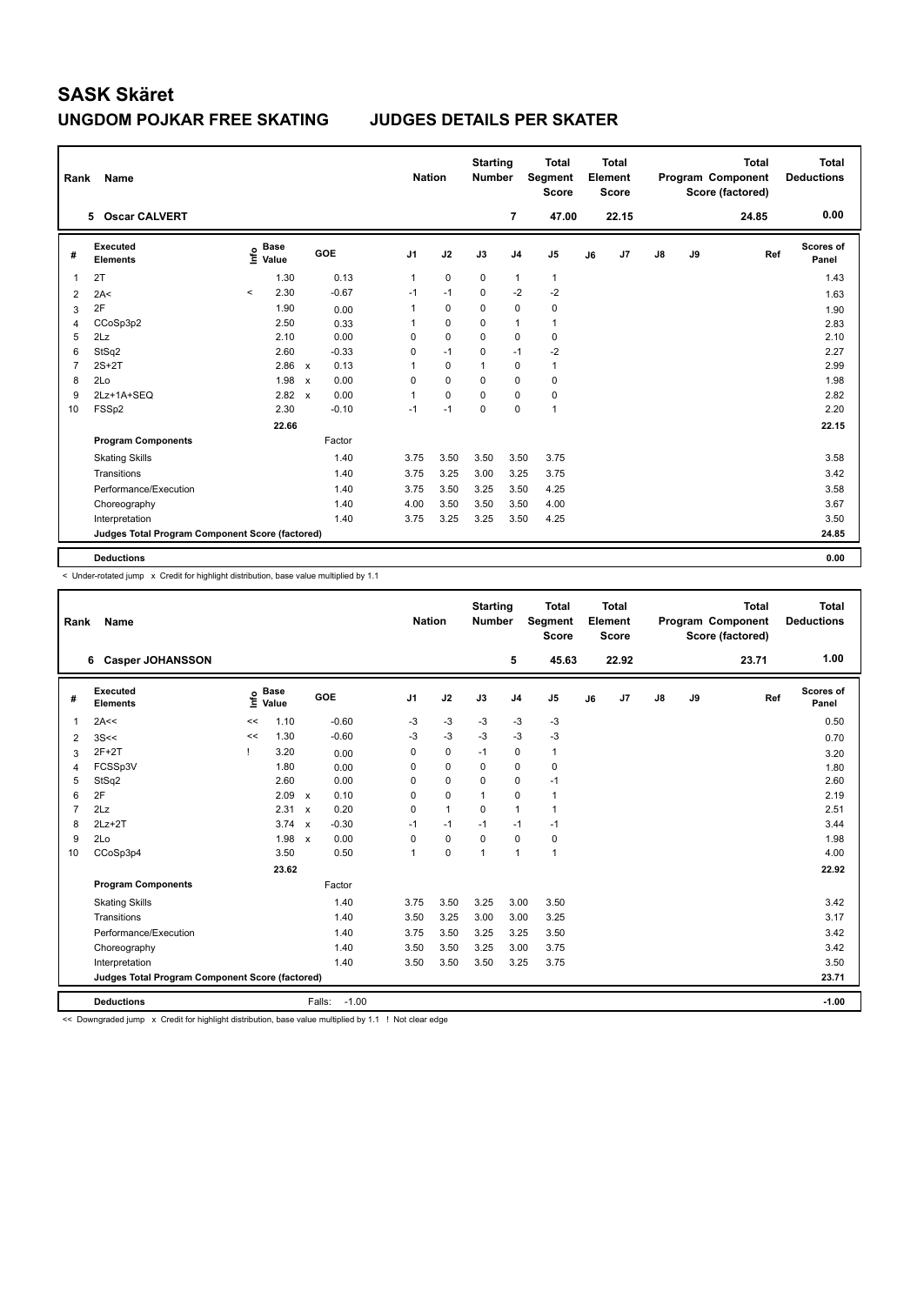| Rank           | Name                                            |         |                      |                           |         |                | <b>Nation</b> |             | <b>Starting</b><br><b>Number</b> |                | <b>Total</b><br><b>Segment</b><br><b>Score</b> |    | <b>Total</b><br>Element<br>Score |               |    | <b>Total</b><br>Program Component<br>Score (factored) | <b>Total</b><br><b>Deductions</b> |
|----------------|-------------------------------------------------|---------|----------------------|---------------------------|---------|----------------|---------------|-------------|----------------------------------|----------------|------------------------------------------------|----|----------------------------------|---------------|----|-------------------------------------------------------|-----------------------------------|
|                | 5 Oscar CALVERT                                 |         |                      |                           |         |                |               |             |                                  | 7              | 47.00                                          |    | 22.15                            |               |    | 24.85                                                 | 0.00                              |
| #              | Executed<br><b>Elements</b>                     | lnfo    | <b>Base</b><br>Value |                           | GOE     | J <sub>1</sub> |               | J2          | J3                               | J <sub>4</sub> | J <sub>5</sub>                                 | J6 | J7                               | $\mathsf{J}8$ | J9 | Ref                                                   | <b>Scores of</b><br>Panel         |
| 1              | 2T                                              |         | 1.30                 |                           | 0.13    | 1              |               | $\mathbf 0$ | $\mathbf 0$                      | $\mathbf{1}$   | $\mathbf{1}$                                   |    |                                  |               |    |                                                       | 1.43                              |
| 2              | 2A<                                             | $\prec$ | 2.30                 |                           | $-0.67$ |                | $-1$          | $-1$        | $\mathbf 0$                      | $-2$           | $-2$                                           |    |                                  |               |    |                                                       | 1.63                              |
| 3              | 2F                                              |         | 1.90                 |                           | 0.00    | 1              |               | $\mathbf 0$ | 0                                | $\mathbf 0$    | 0                                              |    |                                  |               |    |                                                       | 1.90                              |
| $\overline{4}$ | CCoSp3p2                                        |         | 2.50                 |                           | 0.33    | 1              |               | $\Omega$    | $\Omega$                         | $\mathbf{1}$   | $\mathbf{1}$                                   |    |                                  |               |    |                                                       | 2.83                              |
| 5              | 2Lz                                             |         | 2.10                 |                           | 0.00    |                | 0             | $\mathbf 0$ | $\mathbf 0$                      | $\mathbf 0$    | 0                                              |    |                                  |               |    |                                                       | 2.10                              |
| 6              | StSq2                                           |         | 2.60                 |                           | $-0.33$ |                | 0             | $-1$        | $\Omega$                         | $-1$           | $-2$                                           |    |                                  |               |    |                                                       | 2.27                              |
| $\overline{7}$ | $2S+2T$                                         |         | 2.86                 | $\boldsymbol{\mathsf{x}}$ | 0.13    | 1              |               | $\mathbf 0$ | 1                                | $\mathbf 0$    | $\mathbf{1}$                                   |    |                                  |               |    |                                                       | 2.99                              |
| 8              | 2Lo                                             |         | 1.98                 | $\boldsymbol{\mathsf{x}}$ | 0.00    |                | 0             | $\mathbf 0$ | $\Omega$                         | $\mathbf 0$    | 0                                              |    |                                  |               |    |                                                       | 1.98                              |
| 9              | 2Lz+1A+SEQ                                      |         | 2.82                 | $\boldsymbol{\mathsf{x}}$ | 0.00    | 1              |               | $\mathbf 0$ | $\Omega$                         | 0              | $\mathbf 0$                                    |    |                                  |               |    |                                                       | 2.82                              |
| 10             | FSSp2                                           |         | 2.30                 |                           | $-0.10$ |                | $-1$          | $-1$        | $\Omega$                         | $\mathbf 0$    | $\mathbf{1}$                                   |    |                                  |               |    |                                                       | 2.20                              |
|                |                                                 |         | 22.66                |                           |         |                |               |             |                                  |                |                                                |    |                                  |               |    |                                                       | 22.15                             |
|                | <b>Program Components</b>                       |         |                      |                           | Factor  |                |               |             |                                  |                |                                                |    |                                  |               |    |                                                       |                                   |
|                | <b>Skating Skills</b>                           |         |                      |                           | 1.40    |                | 3.75          | 3.50        | 3.50                             | 3.50           | 3.75                                           |    |                                  |               |    |                                                       | 3.58                              |
|                | Transitions                                     |         |                      |                           | 1.40    |                | 3.75          | 3.25        | 3.00                             | 3.25           | 3.75                                           |    |                                  |               |    |                                                       | 3.42                              |
|                | Performance/Execution                           |         |                      |                           | 1.40    |                | 3.75          | 3.50        | 3.25                             | 3.50           | 4.25                                           |    |                                  |               |    |                                                       | 3.58                              |
|                | Choreography                                    |         |                      |                           | 1.40    |                | 4.00          | 3.50        | 3.50                             | 3.50           | 4.00                                           |    |                                  |               |    |                                                       | 3.67                              |
|                | Interpretation                                  |         |                      |                           | 1.40    |                | 3.75          | 3.25        | 3.25                             | 3.50           | 4.25                                           |    |                                  |               |    |                                                       | 3.50                              |
|                | Judges Total Program Component Score (factored) |         |                      |                           |         |                |               |             |                                  |                |                                                |    |                                  |               |    |                                                       | 24.85                             |
|                | <b>Deductions</b>                               |         |                      |                           |         |                |               |             |                                  |                |                                                |    |                                  |               |    |                                                       | 0.00                              |

< Under-rotated jump x Credit for highlight distribution, base value multiplied by 1.1

| Rank           | Name                                            |      |                      |                           |         | <b>Nation</b>  |              | <b>Starting</b><br><b>Number</b> |                | <b>Total</b><br>Segment<br><b>Score</b> |    | <b>Total</b><br>Element<br><b>Score</b> |    |    | <b>Total</b><br>Program Component<br>Score (factored) | Total<br><b>Deductions</b> |
|----------------|-------------------------------------------------|------|----------------------|---------------------------|---------|----------------|--------------|----------------------------------|----------------|-----------------------------------------|----|-----------------------------------------|----|----|-------------------------------------------------------|----------------------------|
|                | <b>Casper JOHANSSON</b><br>6                    |      |                      |                           |         |                |              |                                  | 5              | 45.63                                   |    | 22.92                                   |    |    | 23.71                                                 | 1.00                       |
| #              | Executed<br><b>Elements</b>                     | ١nfo | <b>Base</b><br>Value |                           | GOE     | J <sub>1</sub> | J2           | J3                               | J <sub>4</sub> | J <sub>5</sub>                          | J6 | J7                                      | J8 | J9 | Ref                                                   | Scores of<br>Panel         |
| $\mathbf{1}$   | 2A<<                                            | <<   | 1.10                 |                           | $-0.60$ | -3             | $-3$         | $-3$                             | $-3$           | $-3$                                    |    |                                         |    |    |                                                       | 0.50                       |
| 2              | 3S <                                            | <<   | 1.30                 |                           | $-0.60$ | $-3$           | $-3$         | $-3$                             | $-3$           | $-3$                                    |    |                                         |    |    |                                                       | 0.70                       |
| 3              | $2F+2T$                                         |      | 3.20                 |                           | 0.00    | 0              | $\mathbf 0$  | $-1$                             | 0              | 1                                       |    |                                         |    |    |                                                       | 3.20                       |
| $\overline{4}$ | FCSSp3V                                         |      | 1.80                 |                           | 0.00    | 0              | $\pmb{0}$    | 0                                | 0              | 0                                       |    |                                         |    |    |                                                       | 1.80                       |
| 5              | StSq2                                           |      | 2.60                 |                           | 0.00    | $\Omega$       | $\mathbf 0$  | 0                                | $\mathbf 0$    | $-1$                                    |    |                                         |    |    |                                                       | 2.60                       |
| 6              | 2F                                              |      | 2.09                 | $\boldsymbol{\mathsf{x}}$ | 0.10    | $\mathbf 0$    | $\mathbf 0$  | $\mathbf{1}$                     | $\mathbf 0$    | $\mathbf{1}$                            |    |                                         |    |    |                                                       | 2.19                       |
| $\overline{7}$ | 2Lz                                             |      | 2.31                 | $\mathsf{x}$              | 0.20    | 0              | $\mathbf{1}$ | $\Omega$                         | $\mathbf{1}$   | 1                                       |    |                                         |    |    |                                                       | 2.51                       |
| 8              | $2Lz+2T$                                        |      | 3.74                 | $\mathsf{x}$              | $-0.30$ | $-1$           | $-1$         | $-1$                             | $-1$           | $-1$                                    |    |                                         |    |    |                                                       | 3.44                       |
| 9              | 2Lo                                             |      | 1.98                 | $\mathbf{x}$              | 0.00    | $\Omega$       | $\mathbf 0$  | $\mathbf 0$                      | $\mathbf 0$    | 0                                       |    |                                         |    |    |                                                       | 1.98                       |
| 10             | CCoSp3p4                                        |      | 3.50                 |                           | 0.50    | $\mathbf{1}$   | $\mathbf 0$  | $\mathbf{1}$                     | $\overline{1}$ | $\mathbf{1}$                            |    |                                         |    |    |                                                       | 4.00                       |
|                |                                                 |      | 23.62                |                           |         |                |              |                                  |                |                                         |    |                                         |    |    |                                                       | 22.92                      |
|                | <b>Program Components</b>                       |      |                      |                           | Factor  |                |              |                                  |                |                                         |    |                                         |    |    |                                                       |                            |
|                | <b>Skating Skills</b>                           |      |                      |                           | 1.40    | 3.75           | 3.50         | 3.25                             | 3.00           | 3.50                                    |    |                                         |    |    |                                                       | 3.42                       |
|                | Transitions                                     |      |                      |                           | 1.40    | 3.50           | 3.25         | 3.00                             | 3.00           | 3.25                                    |    |                                         |    |    |                                                       | 3.17                       |
|                | Performance/Execution                           |      |                      |                           | 1.40    | 3.75           | 3.50         | 3.25                             | 3.25           | 3.50                                    |    |                                         |    |    |                                                       | 3.42                       |
|                | Choreography                                    |      |                      |                           | 1.40    | 3.50           | 3.50         | 3.25                             | 3.00           | 3.75                                    |    |                                         |    |    |                                                       | 3.42                       |
|                | Interpretation                                  |      |                      |                           | 1.40    | 3.50           | 3.50         | 3.50                             | 3.25           | 3.75                                    |    |                                         |    |    |                                                       | 3.50                       |
|                | Judges Total Program Component Score (factored) |      |                      |                           |         |                |              |                                  |                |                                         |    |                                         |    |    |                                                       | 23.71                      |
|                | <b>Deductions</b>                               |      |                      | Falls:                    | $-1.00$ |                |              |                                  |                |                                         |    |                                         |    |    |                                                       | $-1.00$                    |

<< Downgraded jump x Credit for highlight distribution, base value multiplied by 1.1 ! Not clear edge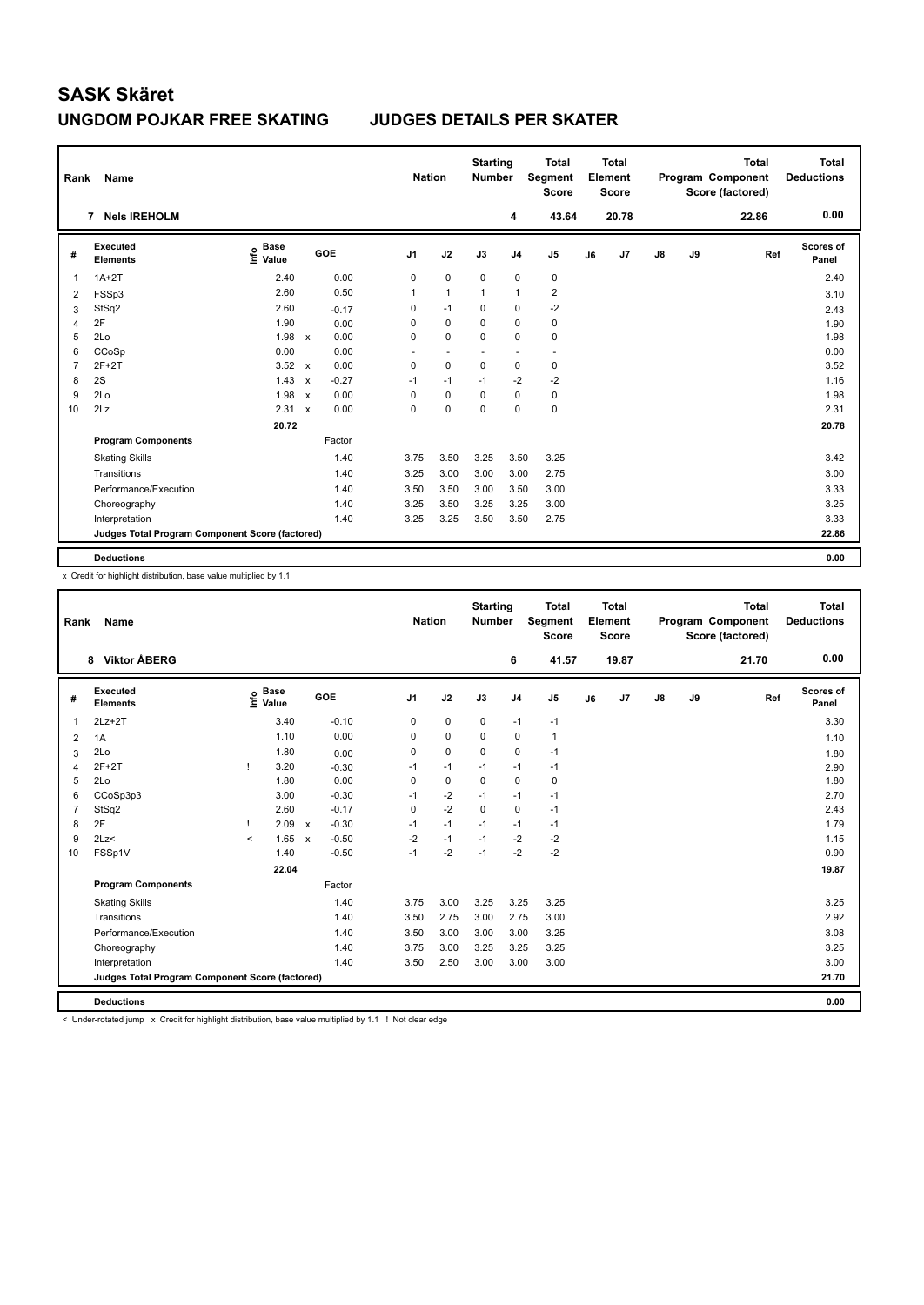| Rank           | Name                                            |                                  |                           |            | <b>Nation</b>            |                          | <b>Starting</b><br><b>Number</b> |                          | <b>Total</b><br>Segment<br><b>Score</b> |    | <b>Total</b><br>Element<br>Score |               |    | <b>Total</b><br>Program Component<br>Score (factored) | Total<br><b>Deductions</b> |
|----------------|-------------------------------------------------|----------------------------------|---------------------------|------------|--------------------------|--------------------------|----------------------------------|--------------------------|-----------------------------------------|----|----------------------------------|---------------|----|-------------------------------------------------------|----------------------------|
|                | <b>Nels IREHOLM</b><br>$\overline{7}$           |                                  |                           |            |                          |                          |                                  | 4                        | 43.64                                   |    | 20.78                            |               |    | 22.86                                                 | 0.00                       |
| #              | <b>Executed</b><br><b>Elements</b>              | <b>Base</b><br>e Base<br>⊆ Value |                           | <b>GOE</b> | J <sub>1</sub>           | J2                       | J3                               | J <sub>4</sub>           | J5                                      | J6 | J7                               | $\mathsf{J}8$ | J9 | Ref                                                   | Scores of<br>Panel         |
| 1              | $1A+2T$                                         | 2.40                             |                           | 0.00       | 0                        | $\mathbf 0$              | $\mathbf 0$                      | $\mathbf 0$              | $\pmb{0}$                               |    |                                  |               |    |                                                       | 2.40                       |
| 2              | FSSp3                                           | 2.60                             |                           | 0.50       | 1                        | $\mathbf{1}$             | 1                                | $\mathbf{1}$             | $\overline{2}$                          |    |                                  |               |    |                                                       | 3.10                       |
| 3              | StSq2                                           | 2.60                             |                           | $-0.17$    | 0                        | $-1$                     | 0                                | 0                        | -2                                      |    |                                  |               |    |                                                       | 2.43                       |
| 4              | 2F                                              | 1.90                             |                           | 0.00       | 0                        | $\Omega$                 | 0                                | $\Omega$                 | 0                                       |    |                                  |               |    |                                                       | 1.90                       |
| 5              | 2Lo                                             | 1.98                             | $\mathsf{x}$              | 0.00       | 0                        | $\mathbf 0$              | 0                                | $\mathbf 0$              | $\pmb{0}$                               |    |                                  |               |    |                                                       | 1.98                       |
| 6              | CCoSp                                           | 0.00                             |                           | 0.00       | $\overline{\phantom{a}}$ | $\overline{\phantom{a}}$ | $\overline{\phantom{a}}$         | $\overline{\phantom{a}}$ | $\overline{\phantom{a}}$                |    |                                  |               |    |                                                       | 0.00                       |
| $\overline{7}$ | $2F+2T$                                         | 3.52                             | $\mathsf{x}$              | 0.00       | 0                        | $\mathbf 0$              | $\mathbf 0$                      | $\mathbf 0$              | $\pmb{0}$                               |    |                                  |               |    |                                                       | 3.52                       |
| 8              | 2S                                              | 1.43                             | $\mathbf x$               | $-0.27$    | $-1$                     | $-1$                     | $-1$                             | $-2$                     | $-2$                                    |    |                                  |               |    |                                                       | 1.16                       |
| 9              | 2Lo                                             | 1.98                             | $\boldsymbol{\mathsf{x}}$ | 0.00       | 0                        | $\mathbf 0$              | $\mathbf 0$                      | $\mathbf 0$              | $\pmb{0}$                               |    |                                  |               |    |                                                       | 1.98                       |
| 10             | 2Lz                                             | 2.31                             | $\mathbf{x}$              | 0.00       | 0                        | $\Omega$                 | 0                                | $\Omega$                 | $\pmb{0}$                               |    |                                  |               |    |                                                       | 2.31                       |
|                |                                                 | 20.72                            |                           |            |                          |                          |                                  |                          |                                         |    |                                  |               |    |                                                       | 20.78                      |
|                | <b>Program Components</b>                       |                                  |                           | Factor     |                          |                          |                                  |                          |                                         |    |                                  |               |    |                                                       |                            |
|                | <b>Skating Skills</b>                           |                                  |                           | 1.40       | 3.75                     | 3.50                     | 3.25                             | 3.50                     | 3.25                                    |    |                                  |               |    |                                                       | 3.42                       |
|                | Transitions                                     |                                  |                           | 1.40       | 3.25                     | 3.00                     | 3.00                             | 3.00                     | 2.75                                    |    |                                  |               |    |                                                       | 3.00                       |
|                | Performance/Execution                           |                                  |                           | 1.40       | 3.50                     | 3.50                     | 3.00                             | 3.50                     | 3.00                                    |    |                                  |               |    |                                                       | 3.33                       |
|                | Choreography                                    |                                  |                           | 1.40       | 3.25                     | 3.50                     | 3.25                             | 3.25                     | 3.00                                    |    |                                  |               |    |                                                       | 3.25                       |
|                | Interpretation                                  |                                  |                           | 1.40       | 3.25                     | 3.25                     | 3.50                             | 3.50                     | 2.75                                    |    |                                  |               |    |                                                       | 3.33                       |
|                | Judges Total Program Component Score (factored) |                                  |                           |            |                          |                          |                                  |                          |                                         |    |                                  |               |    |                                                       | 22.86                      |
|                | <b>Deductions</b>                               |                                  |                           |            |                          |                          |                                  |                          |                                         |    |                                  |               |    |                                                       | 0.00                       |

x Credit for highlight distribution, base value multiplied by 1.1

| Rank           | Name                                            |         |                      |              |         | <b>Nation</b>  |             | <b>Starting</b><br><b>Number</b> |                | <b>Total</b><br>Segment<br><b>Score</b> |    | <b>Total</b><br>Element<br><b>Score</b> |    |    | <b>Total</b><br>Program Component<br>Score (factored) | <b>Total</b><br><b>Deductions</b> |
|----------------|-------------------------------------------------|---------|----------------------|--------------|---------|----------------|-------------|----------------------------------|----------------|-----------------------------------------|----|-----------------------------------------|----|----|-------------------------------------------------------|-----------------------------------|
|                | 8 Viktor ÅBERG                                  |         |                      |              |         |                |             |                                  | 6              | 41.57                                   |    | 19.87                                   |    |    | 21.70                                                 | 0.00                              |
| #              | <b>Executed</b><br><b>Elements</b>              | lnfo    | <b>Base</b><br>Value |              | GOE     | J <sub>1</sub> | J2          | J3                               | J <sub>4</sub> | J <sub>5</sub>                          | J6 | J <sub>7</sub>                          | J8 | J9 | Ref                                                   | Scores of<br>Panel                |
| 1              | $2Lz+2T$                                        |         | 3.40                 |              | $-0.10$ | 0              | $\mathbf 0$ | $\mathbf 0$                      | $-1$           | $-1$                                    |    |                                         |    |    |                                                       | 3.30                              |
| 2              | 1A                                              |         | 1.10                 |              | 0.00    | 0              | $\mathbf 0$ | 0                                | $\mathbf 0$    | $\mathbf{1}$                            |    |                                         |    |    |                                                       | 1.10                              |
| 3              | 2Lo                                             |         | 1.80                 |              | 0.00    | 0              | $\mathbf 0$ | 0                                | $\mathbf 0$    | $-1$                                    |    |                                         |    |    |                                                       | 1.80                              |
| 4              | $2F+2T$                                         |         | 3.20                 |              | $-0.30$ | $-1$           | $-1$        | $-1$                             | $-1$           | $-1$                                    |    |                                         |    |    |                                                       | 2.90                              |
| 5              | 2Lo                                             |         | 1.80                 |              | 0.00    | 0              | $\pmb{0}$   | $\Omega$                         | $\mathbf 0$    | 0                                       |    |                                         |    |    |                                                       | 1.80                              |
| 6              | CCoSp3p3                                        |         | 3.00                 |              | $-0.30$ | $-1$           | $-2$        | $-1$                             | $-1$           | $-1$                                    |    |                                         |    |    |                                                       | 2.70                              |
| $\overline{7}$ | StSq2                                           |         | 2.60                 |              | $-0.17$ | 0              | $-2$        | $\Omega$                         | $\mathbf 0$    | $-1$                                    |    |                                         |    |    |                                                       | 2.43                              |
| 8              | 2F                                              |         | 2.09                 | $\mathsf{x}$ | $-0.30$ | $-1$           | $-1$        | $-1$                             | $-1$           | $-1$                                    |    |                                         |    |    |                                                       | 1.79                              |
| 9              | 2Lz<                                            | $\prec$ | 1.65                 | $\mathsf{x}$ | $-0.50$ | $-2$           | $-1$        | $-1$                             | $-2$           | $-2$                                    |    |                                         |    |    |                                                       | 1.15                              |
| 10             | FSSp1V                                          |         | 1.40                 |              | $-0.50$ | $-1$           | $-2$        | $-1$                             | $-2$           | $-2$                                    |    |                                         |    |    |                                                       | 0.90                              |
|                |                                                 |         | 22.04                |              |         |                |             |                                  |                |                                         |    |                                         |    |    |                                                       | 19.87                             |
|                | <b>Program Components</b>                       |         |                      |              | Factor  |                |             |                                  |                |                                         |    |                                         |    |    |                                                       |                                   |
|                | <b>Skating Skills</b>                           |         |                      |              | 1.40    | 3.75           | 3.00        | 3.25                             | 3.25           | 3.25                                    |    |                                         |    |    |                                                       | 3.25                              |
|                | Transitions                                     |         |                      |              | 1.40    | 3.50           | 2.75        | 3.00                             | 2.75           | 3.00                                    |    |                                         |    |    |                                                       | 2.92                              |
|                | Performance/Execution                           |         |                      |              | 1.40    | 3.50           | 3.00        | 3.00                             | 3.00           | 3.25                                    |    |                                         |    |    |                                                       | 3.08                              |
|                | Choreography                                    |         |                      |              | 1.40    | 3.75           | 3.00        | 3.25                             | 3.25           | 3.25                                    |    |                                         |    |    |                                                       | 3.25                              |
|                | Interpretation                                  |         |                      |              | 1.40    | 3.50           | 2.50        | 3.00                             | 3.00           | 3.00                                    |    |                                         |    |    |                                                       | 3.00                              |
|                | Judges Total Program Component Score (factored) |         |                      |              |         |                |             |                                  |                |                                         |    |                                         |    |    |                                                       | 21.70                             |
|                | <b>Deductions</b>                               |         |                      |              |         |                |             |                                  |                |                                         |    |                                         |    |    |                                                       | 0.00                              |

< Under-rotated jump x Credit for highlight distribution, base value multiplied by 1.1 ! Not clear edge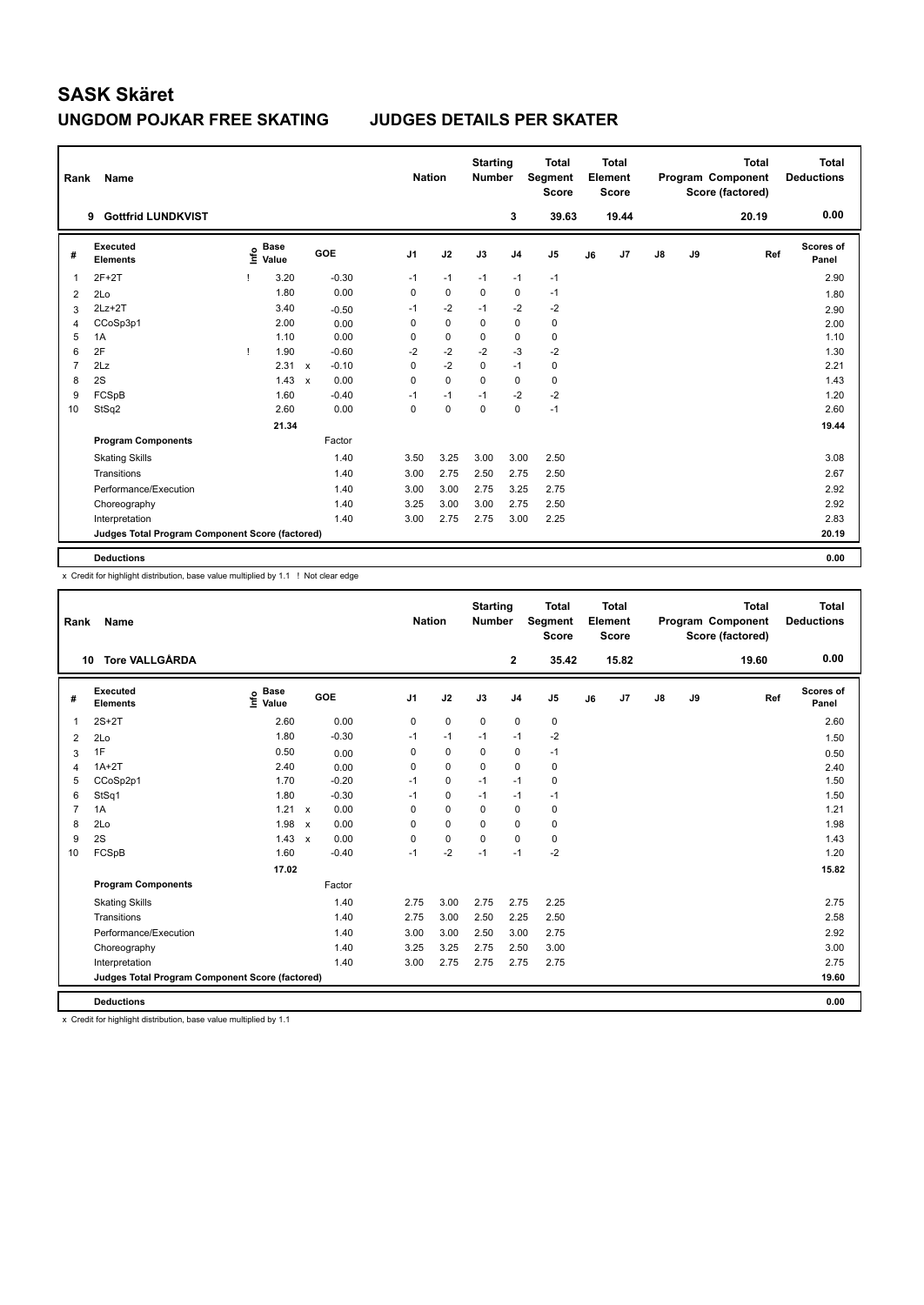| Rank           | <b>Name</b>                                     |      |                      |                           |         |                | <b>Nation</b> |             | <b>Starting</b><br><b>Number</b> |                | <b>Total</b><br><b>Segment</b><br><b>Score</b> |    | <b>Total</b><br>Element<br>Score |               |    | <b>Total</b><br>Program Component<br>Score (factored) | <b>Total</b><br><b>Deductions</b> |
|----------------|-------------------------------------------------|------|----------------------|---------------------------|---------|----------------|---------------|-------------|----------------------------------|----------------|------------------------------------------------|----|----------------------------------|---------------|----|-------------------------------------------------------|-----------------------------------|
|                | <b>Gottfrid LUNDKVIST</b><br>9                  |      |                      |                           |         |                |               |             |                                  | 3              | 39.63                                          |    | 19.44                            |               |    | 20.19                                                 | 0.00                              |
| #              | Executed<br><b>Elements</b>                     | ١nf٥ | <b>Base</b><br>Value |                           | GOE     | J <sub>1</sub> |               | J2          | J3                               | J <sub>4</sub> | J <sub>5</sub>                                 | J6 | J7                               | $\mathsf{J}8$ | J9 | Ref                                                   | <b>Scores of</b><br>Panel         |
| 1              | $2F+2T$                                         |      | 3.20                 |                           | $-0.30$ | $-1$           |               | $-1$        | $-1$                             | $-1$           | $-1$                                           |    |                                  |               |    |                                                       | 2.90                              |
| 2              | 2Lo                                             |      | 1.80                 |                           | 0.00    | 0              |               | $\pmb{0}$   | 0                                | $\mathbf 0$    | $-1$                                           |    |                                  |               |    |                                                       | 1.80                              |
| 3              | $2Lz+2T$                                        |      | 3.40                 |                           | $-0.50$ | $-1$           |               | $-2$        | $-1$                             | $-2$           | $-2$                                           |    |                                  |               |    |                                                       | 2.90                              |
| 4              | CCoSp3p1                                        |      | 2.00                 |                           | 0.00    |                | $\Omega$      | $\mathbf 0$ | $\Omega$                         | $\mathbf 0$    | $\pmb{0}$                                      |    |                                  |               |    |                                                       | 2.00                              |
| 5              | 1A                                              |      | 1.10                 |                           | 0.00    |                | 0             | $\mathbf 0$ | 0                                | $\mathbf 0$    | $\mathbf 0$                                    |    |                                  |               |    |                                                       | 1.10                              |
| 6              | 2F                                              | п    | 1.90                 |                           | $-0.60$ |                | $-2$          | $-2$        | $-2$                             | $-3$           | $-2$                                           |    |                                  |               |    |                                                       | 1.30                              |
| $\overline{7}$ | 2Lz                                             |      | 2.31                 | $\boldsymbol{\mathsf{x}}$ | $-0.10$ |                | $\mathbf 0$   | $-2$        | $\mathbf 0$                      | $-1$           | $\mathbf 0$                                    |    |                                  |               |    |                                                       | 2.21                              |
| 8              | 2S                                              |      | 1.43                 | $\boldsymbol{\mathsf{x}}$ | 0.00    |                | $\mathbf 0$   | $\mathbf 0$ | $\mathbf 0$                      | $\mathbf 0$    | $\mathbf 0$                                    |    |                                  |               |    |                                                       | 1.43                              |
| 9              | FCSpB                                           |      | 1.60                 |                           | $-0.40$ | $-1$           |               | $-1$        | $-1$                             | $-2$           | $-2$                                           |    |                                  |               |    |                                                       | 1.20                              |
| 10             | StSq2                                           |      | 2.60                 |                           | 0.00    | $\Omega$       |               | $\mathbf 0$ | $\mathbf 0$                      | $\mathbf 0$    | $-1$                                           |    |                                  |               |    |                                                       | 2.60                              |
|                |                                                 |      | 21.34                |                           |         |                |               |             |                                  |                |                                                |    |                                  |               |    |                                                       | 19.44                             |
|                | <b>Program Components</b>                       |      |                      |                           | Factor  |                |               |             |                                  |                |                                                |    |                                  |               |    |                                                       |                                   |
|                | <b>Skating Skills</b>                           |      |                      |                           | 1.40    |                | 3.50          | 3.25        | 3.00                             | 3.00           | 2.50                                           |    |                                  |               |    |                                                       | 3.08                              |
|                | Transitions                                     |      |                      |                           | 1.40    |                | 3.00          | 2.75        | 2.50                             | 2.75           | 2.50                                           |    |                                  |               |    |                                                       | 2.67                              |
|                | Performance/Execution                           |      |                      |                           | 1.40    |                | 3.00          | 3.00        | 2.75                             | 3.25           | 2.75                                           |    |                                  |               |    |                                                       | 2.92                              |
|                | Choreography                                    |      |                      |                           | 1.40    |                | 3.25          | 3.00        | 3.00                             | 2.75           | 2.50                                           |    |                                  |               |    |                                                       | 2.92                              |
|                | Interpretation                                  |      |                      |                           | 1.40    | 3.00           |               | 2.75        | 2.75                             | 3.00           | 2.25                                           |    |                                  |               |    |                                                       | 2.83                              |
|                | Judges Total Program Component Score (factored) |      |                      |                           |         |                |               |             |                                  |                |                                                |    |                                  |               |    |                                                       | 20.19                             |
|                | <b>Deductions</b>                               |      |                      |                           |         |                |               |             |                                  |                |                                                |    |                                  |               |    |                                                       | 0.00                              |

x Credit for highlight distribution, base value multiplied by 1.1 ! Not clear edge

| Rank           | Name                                            |                            |              |            | <b>Nation</b>  |             | <b>Starting</b><br><b>Number</b> |                | <b>Total</b><br>Segment<br><b>Score</b> |    | <b>Total</b><br>Element<br><b>Score</b> |    |    | <b>Total</b><br>Program Component<br>Score (factored) | <b>Total</b><br><b>Deductions</b> |
|----------------|-------------------------------------------------|----------------------------|--------------|------------|----------------|-------------|----------------------------------|----------------|-----------------------------------------|----|-----------------------------------------|----|----|-------------------------------------------------------|-----------------------------------|
|                | <b>Tore VALLGÅRDA</b><br>10                     |                            |              |            |                |             |                                  | $\mathbf{2}$   | 35.42                                   |    | 15.82                                   |    |    | 19.60                                                 | 0.00                              |
| #              | Executed<br><b>Elements</b>                     | e Base<br>E Value<br>Value |              | <b>GOE</b> | J <sub>1</sub> | J2          | J3                               | J <sub>4</sub> | J <sub>5</sub>                          | J6 | J7                                      | J8 | J9 | Ref                                                   | Scores of<br>Panel                |
| $\mathbf{1}$   | $2S+2T$                                         | 2.60                       |              | 0.00       | 0              | $\mathbf 0$ | $\mathbf 0$                      | $\mathbf 0$    | 0                                       |    |                                         |    |    |                                                       | 2.60                              |
| 2              | 2 <sub>0</sub>                                  | 1.80                       |              | $-0.30$    | $-1$           | $-1$        | $-1$                             | $-1$           | $-2$                                    |    |                                         |    |    |                                                       | 1.50                              |
| 3              | 1F                                              | 0.50                       |              | 0.00       | 0              | $\mathbf 0$ | 0                                | $\mathbf 0$    | $-1$                                    |    |                                         |    |    |                                                       | 0.50                              |
| $\overline{4}$ | $1A+2T$                                         | 2.40                       |              | 0.00       | 0              | $\mathbf 0$ | $\mathbf 0$                      | $\mathbf 0$    | 0                                       |    |                                         |    |    |                                                       | 2.40                              |
| 5              | CCoSp2p1                                        | 1.70                       |              | $-0.20$    | $-1$           | $\mathbf 0$ | $-1$                             | $-1$           | 0                                       |    |                                         |    |    |                                                       | 1.50                              |
| 6              | StSq1                                           | 1.80                       |              | $-0.30$    | $-1$           | $\mathbf 0$ | $-1$                             | $-1$           | $-1$                                    |    |                                         |    |    |                                                       | 1.50                              |
| $\overline{7}$ | 1A                                              | 1.21                       | $\mathsf{x}$ | 0.00       | 0              | $\mathbf 0$ | $\Omega$                         | $\mathbf 0$    | 0                                       |    |                                         |    |    |                                                       | 1.21                              |
| 8              | 2Lo                                             | 1.98                       | $\mathsf{x}$ | 0.00       | $\Omega$       | $\mathbf 0$ | 0                                | $\Omega$       | 0                                       |    |                                         |    |    |                                                       | 1.98                              |
| 9              | 2S                                              | 1.43                       | $\mathsf{x}$ | 0.00       | 0              | $\mathbf 0$ | $\Omega$                         | $\mathbf 0$    | 0                                       |    |                                         |    |    |                                                       | 1.43                              |
| 10             | FCSpB                                           | 1.60                       |              | $-0.40$    | $-1$           | $-2$        | $-1$                             | $-1$           | $-2$                                    |    |                                         |    |    |                                                       | 1.20                              |
|                |                                                 | 17.02                      |              |            |                |             |                                  |                |                                         |    |                                         |    |    |                                                       | 15.82                             |
|                | <b>Program Components</b>                       |                            |              | Factor     |                |             |                                  |                |                                         |    |                                         |    |    |                                                       |                                   |
|                | <b>Skating Skills</b>                           |                            |              | 1.40       | 2.75           | 3.00        | 2.75                             | 2.75           | 2.25                                    |    |                                         |    |    |                                                       | 2.75                              |
|                | Transitions                                     |                            |              | 1.40       | 2.75           | 3.00        | 2.50                             | 2.25           | 2.50                                    |    |                                         |    |    |                                                       | 2.58                              |
|                | Performance/Execution                           |                            |              | 1.40       | 3.00           | 3.00        | 2.50                             | 3.00           | 2.75                                    |    |                                         |    |    |                                                       | 2.92                              |
|                | Choreography                                    |                            |              | 1.40       | 3.25           | 3.25        | 2.75                             | 2.50           | 3.00                                    |    |                                         |    |    |                                                       | 3.00                              |
|                | Interpretation                                  |                            |              | 1.40       | 3.00           | 2.75        | 2.75                             | 2.75           | 2.75                                    |    |                                         |    |    |                                                       | 2.75                              |
|                | Judges Total Program Component Score (factored) |                            |              |            |                |             |                                  |                |                                         |    |                                         |    |    |                                                       | 19.60                             |
|                | <b>Deductions</b>                               |                            |              |            |                |             |                                  |                |                                         |    |                                         |    |    |                                                       | 0.00                              |

x Credit for highlight distribution, base value multiplied by 1.1